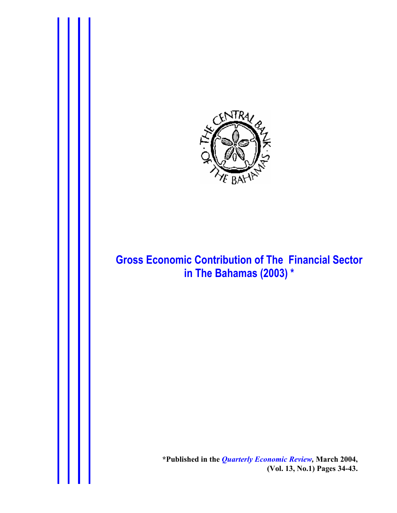

# **Gross Economic Contribution of The Financial Sector in The Bahamas (2003) \***

**\*Published in the** *Quarterly Economic Review,* **March 2004, (Vol. 13, No.1) Pages 34-43.**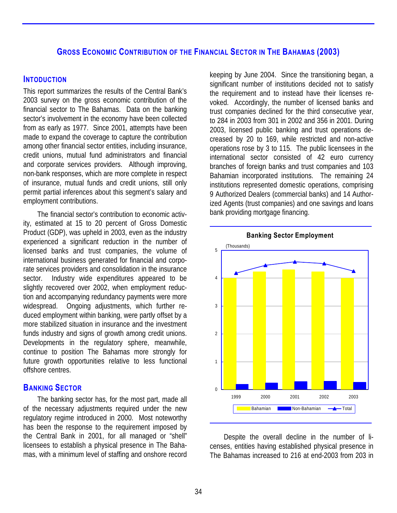# **GROSS ECONOMIC CONTRIBUTION OF THE FINANCIAL SECTOR IN THE BAHAMAS (2003)**

### **INTODUCTION**

This report summarizes the results of the Central Bank's 2003 survey on the gross economic contribution of the financial sector to The Bahamas. Data on the banking sector's involvement in the economy have been collected from as early as 1977. Since 2001, attempts have been made to expand the coverage to capture the contribution among other financial sector entities, including insurance, credit unions, mutual fund administrators and financial and corporate services providers. Although improving, non-bank responses, which are more complete in respect of insurance, mutual funds and credit unions, still only permit partial inferences about this segment's salary and employment contributions.

The financial sector's contribution to economic activity, estimated at 15 to 20 percent of Gross Domestic Product (GDP), was upheld in 2003, even as the industry experienced a significant reduction in the number of licensed banks and trust companies, the volume of international business generated for financial and corporate services providers and consolidation in the insurance sector. Industry wide expenditures appeared to be slightly recovered over 2002, when employment reduction and accompanying redundancy payments were more widespread. Ongoing adjustments, which further reduced employment within banking, were partly offset by a more stabilized situation in insurance and the investment funds industry and signs of growth among credit unions. Developments in the regulatory sphere, meanwhile, continue to position The Bahamas more strongly for future growth opportunities relative to less functional offshore centres.

## **BANKING SECTOR**

The banking sector has, for the most part, made all of the necessary adjustments required under the new regulatory regime introduced in 2000. Most noteworthy has been the response to the requirement imposed by the Central Bank in 2001, for all managed or "shell" licensees to establish a physical presence in The Bahamas, with a minimum level of staffing and onshore record

keeping by June 2004. Since the transitioning began, a significant number of institutions decided not to satisfy the requirement and to instead have their licenses revoked. Accordingly, the number of licensed banks and trust companies declined for the third consecutive year, to 284 in 2003 from 301 in 2002 and 356 in 2001. During 2003, licensed public banking and trust operations decreased by 20 to 169, while restricted and non-active operations rose by 3 to 115. The public licensees in the international sector consisted of 42 euro currency branches of foreign banks and trust companies and 103 Bahamian incorporated institutions. The remaining 24 institutions represented domestic operations, comprising 9 Authorized Dealers (commercial banks) and 14 Authorized Agents (trust companies) and one savings and loans bank providing mortgage financing.





Despite the overall decline in the number of licenses, entities having established physical presence in The Bahamas increased to 216 at end-2003 from 203 in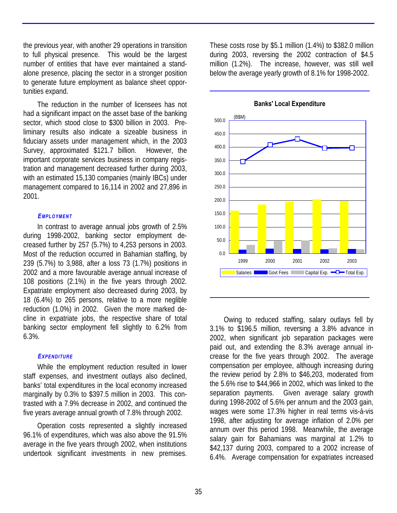the previous year, with another 29 operations in transition to full physical presence. This would be the largest number of entities that have ever maintained a standalone presence, placing the sector in a stronger position to generate future employment as balance sheet opportunities expand.

The reduction in the number of licensees has not had a significant impact on the asset base of the banking sector, which stood close to \$300 billion in 2003. Preliminary results also indicate a sizeable business in fiduciary assets under management which, in the 2003 Survey, approximated \$121.7 billion. However, the important corporate services business in company registration and management decreased further during 2003, with an estimated 15,130 companies (mainly IBCs) under management compared to 16,114 in 2002 and 27,896 in 2001.

### *EMPLOYMENT*

In contrast to average annual jobs growth of 2.5% during 1998-2002, banking sector employment decreased further by 257 (5.7%) to 4,253 persons in 2003. Most of the reduction occurred in Bahamian staffing, by 239 (5.7%) to 3,988, after a loss 73 (1.7%) positions in 2002 and a more favourable average annual increase of 108 positions (2.1%) in the five years through 2002. Expatriate employment also decreased during 2003, by 18 (6.4%) to 265 persons, relative to a more neglible reduction (1.0%) in 2002. Given the more marked decline in expatriate jobs, the respective share of total banking sector employment fell slightly to 6.2% from 6.3%.

### *EXPENDITURE*

While the employment reduction resulted in lower staff expenses, and investment outlays also declined, banks' total expenditures in the local economy increased marginally by 0.3% to \$397.5 million in 2003. This contrasted with a 7.9% decrease in 2002, and continued the five years average annual growth of 7.8% through 2002.

Operation costs represented a slightly increased 96.1% of expenditures, which was also above the 91.5% average in the five years through 2002, when institutions undertook significant investments in new premises.

These costs rose by \$5.1 million (1.4%) to \$382.0 million during 2003, reversing the 2002 contraction of \$4.5 million (1.2%). The increase, however, was still well below the average yearly growth of 8.1% for 1998-2002.



**Banks' Local Expenditure**

Owing to reduced staffing, salary outlays fell by 3.1% to \$196.5 million, reversing a 3.8% advance in 2002, when significant job separation packages were paid out, and extending the 8.3% average annual increase for the five years through 2002. The average compensation per employee, although increasing during the review period by 2.8% to \$46,203, moderated from the 5.6% rise to \$44,966 in 2002, which was linked to the separation payments. Given average salary growth during 1998-2002 of 5.6% per annum and the 2003 gain, wages were some 17.3% higher in real terms vis-à-vis 1998, after adjusting for average inflation of 2.0% per annum over this period 1998. Meanwhile, the average salary gain for Bahamians was marginal at 1.2% to \$42,137 during 2003, compared to a 2002 increase of 6.4%. Average compensation for expatriates increased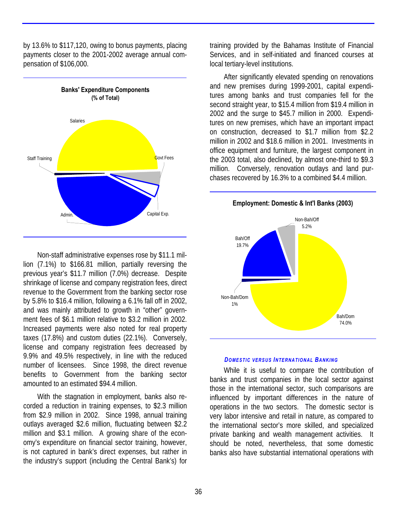by 13.6% to \$117,120, owing to bonus payments, placing payments closer to the 2001-2002 average annual compensation of \$106,000.



Non-staff administrative expenses rose by \$11.1 million (7.1%) to \$166.81 million, partially reversing the previous year's \$11.7 million (7.0%) decrease. Despite shrinkage of license and company registration fees, direct revenue to the Government from the banking sector rose by 5.8% to \$16.4 million, following a 6.1% fall off in 2002, and was mainly attributed to growth in "other" government fees of \$6.1 million relative to \$3.2 million in 2002. Increased payments were also noted for real property taxes (17.8%) and custom duties (22.1%). Conversely, license and company registration fees decreased by 9.9% and 49.5% respectively, in line with the reduced number of licensees. Since 1998, the direct revenue benefits to Government from the banking sector amounted to an estimated \$94.4 million.

With the stagnation in employment, banks also recorded a reduction in training expenses, to \$2.3 million from \$2.9 million in 2002. Since 1998, annual training outlays averaged \$2.6 million, fluctuating between \$2.2 million and \$3.1 million. A growing share of the economy's expenditure on financial sector training, however, is not captured in bank's direct expenses, but rather in the industry's support (including the Central Bank's) for

training provided by the Bahamas Institute of Financial Services, and in self-initiated and financed courses at local tertiary-level institutions.

After significantly elevated spending on renovations and new premises during 1999-2001, capital expenditures among banks and trust companies fell for the second straight year, to \$15.4 million from \$19.4 million in 2002 and the surge to \$45.7 million in 2000. Expenditures on new premises, which have an important impact on construction, decreased to \$1.7 million from \$2.2 million in 2002 and \$18.6 million in 2001. Investments in office equipment and furniture, the largest component in the 2003 total, also declined, by almost one-third to \$9.3 million. Conversely, renovation outlays and land purchases recovered by 16.3% to a combined \$4.4 million.



#### *DOMESTIC VERSUS INTERNATIONAL BANKING*

While it is useful to compare the contribution of banks and trust companies in the local sector against those in the international sector, such comparisons are influenced by important differences in the nature of operations in the two sectors. The domestic sector is very labor intensive and retail in nature, as compared to the international sector's more skilled, and specialized private banking and wealth management activities. It should be noted, nevertheless, that some domestic banks also have substantial international operations with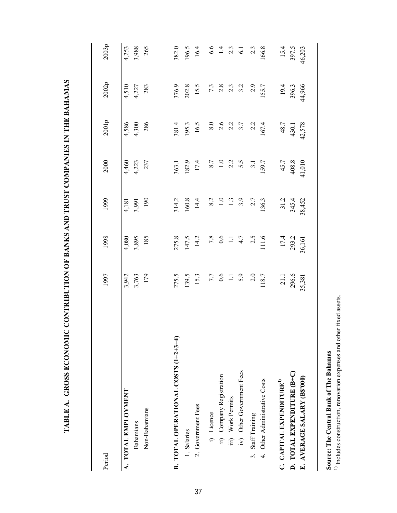| $\frac{1}{2}$                                                                                                |  |
|--------------------------------------------------------------------------------------------------------------|--|
|                                                                                                              |  |
|                                                                                                              |  |
|                                                                                                              |  |
|                                                                                                              |  |
|                                                                                                              |  |
|                                                                                                              |  |
|                                                                                                              |  |
|                                                                                                              |  |
|                                                                                                              |  |
|                                                                                                              |  |
|                                                                                                              |  |
| ים שבונים במוסיקת של המוסד המבנים בין המוסד המוסד המוסד המוסד המוסד המוסד המוסד המוסד המוסד המוסד המ         |  |
|                                                                                                              |  |
|                                                                                                              |  |
|                                                                                                              |  |
|                                                                                                              |  |
|                                                                                                              |  |
|                                                                                                              |  |
|                                                                                                              |  |
|                                                                                                              |  |
|                                                                                                              |  |
|                                                                                                              |  |
|                                                                                                              |  |
|                                                                                                              |  |
|                                                                                                              |  |
|                                                                                                              |  |
|                                                                                                              |  |
| $\frac{1}{2}$                                                                                                |  |
|                                                                                                              |  |
|                                                                                                              |  |
|                                                                                                              |  |
|                                                                                                              |  |
|                                                                                                              |  |
|                                                                                                              |  |
|                                                                                                              |  |
| <b>THE THE CLIFF OF CLIFF OF SERVICE CLIFFE OF THE CLIFF OF THE CLIFFE CLIFFE OF THE CLIFFE OF THE CLIFF</b> |  |
|                                                                                                              |  |
|                                                                                                              |  |
| )<br>)<br> <br>                                                                                              |  |
|                                                                                                              |  |
|                                                                                                              |  |
|                                                                                                              |  |
|                                                                                                              |  |
|                                                                                                              |  |
|                                                                                                              |  |
|                                                                                                              |  |
|                                                                                                              |  |
|                                                                                                              |  |
|                                                                                                              |  |
| <br> <br> <br>                                                                                               |  |
|                                                                                                              |  |
|                                                                                                              |  |
|                                                                                                              |  |

| Period                               | 1997              | 1998         | 1999             | 2000             | 2001p                                                    | 2002p  | 2003p                            |
|--------------------------------------|-------------------|--------------|------------------|------------------|----------------------------------------------------------|--------|----------------------------------|
| A. TOTAL EMPLOYMENT                  | 3,942             | 4,080        | 4,181            | 4,460            | 4,586                                                    | 4,510  | 4,253                            |
| Bahamians                            | 3,763             | 3,895<br>185 | 3,991            | 4,223            | 4,300                                                    | 4,227  | 3,988                            |
| Non-Bahamians                        | 179               |              | 190              | 237              | 286                                                      | 283    | 265                              |
|                                      |                   |              |                  |                  |                                                          |        |                                  |
| B. TOTAL OPERATIONAL COSTS (1+2+3+4) | 275.5             | 275.8        | 314.2            | 363.1            | 381.4                                                    | 376.9  | 382.0                            |
| 1. Salaries                          | 139.5             | 147.5        | 160.8            | 182.9            | 195.3                                                    | 202.8  | 196.5                            |
| 2. Government Fees                   | 15.3              | 14.2         | 14.4             | 17.4             | 16.5                                                     | 15.5   | 16.4                             |
| i) Licence                           | $7.7$<br>0.6      | $7.8$<br>0.6 | 8.2              | $8.7$<br>$1.0$   | $8.0\,$                                                  |        |                                  |
| ii) Company Registration             |                   |              | $\overline{1.0}$ |                  |                                                          |        |                                  |
| iii) Work Permits                    | $\frac{1}{2}$ 3.9 | $\Xi$        | $\frac{1}{2}$    | 2.3<br>2.5       | $2.\overline{0}$<br>$2.\overline{0}$<br>$3.\overline{7}$ |        | $6.6$<br>$1.4$<br>$2.3$<br>$6.1$ |
| iv) Other Government Fees            |                   | 4.7          | 3.9              |                  |                                                          |        |                                  |
| 3. Staff Training                    | 2.0               | 2.5          | 2.7              | $\overline{3}$ . | 2.2                                                      | 2.9    | $2.\overline{3}$                 |
| 4. Other Administrative Costs        | 118.7             | 111.6        | 136.3            | 159.7            | 167.4                                                    | 155.7  | 166.8                            |
| C. CAPITAL EXPENDITURE <sup>1)</sup> | 21.1              | 17.4         | 31.2             | 45.7             | 48.7                                                     | 19.4   | 15.4                             |
| D. TOTAL EXPENDITURE (B+C)           | 296.6             | 293.2        | 345.4            | 408.8            | 430.1                                                    | 396.3  | 397.5                            |
| E. AVERAGE SALARY (B\$'000)          | 35,381            | 36,161       | 38,452           | 41,010           | 42,578                                                   | 44,966 | 46,203                           |
|                                      |                   |              |                  |                  |                                                          |        |                                  |

**Source: The Central Bank of The Bahamas**

Source: The Central Bank of The Bahamas<br> $^{1)}$  Includes construction, renovation expenses and other fixed assets.  $^{11}$  Includes construction, renovation expenses and other fixed assets.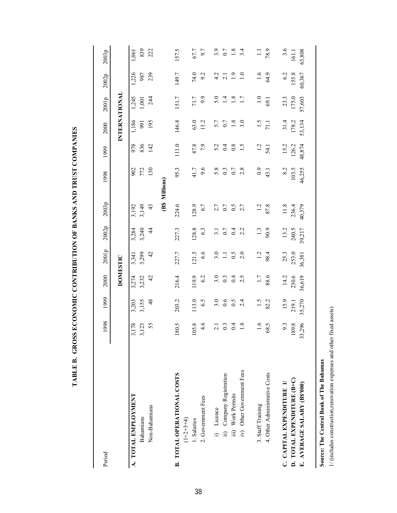| Period                                           | 1998               | 1999           | 2000                    | 2001p         | 2002p                    | 2003p               | 1998       | 1999          | 2000               | 2001p          | 2002p                   | 2003p           |
|--------------------------------------------------|--------------------|----------------|-------------------------|---------------|--------------------------|---------------------|------------|---------------|--------------------|----------------|-------------------------|-----------------|
|                                                  |                    |                | <b>DOMESTIC</b>         |               |                          |                     |            |               | INTERNATIONAL      |                |                         |                 |
| A. TOTAL EMPLOYMENT                              |                    | 3,203          |                         | 3,341         | 3,284                    | 3,192               |            | 978           | 1,186              | 1,245          | 1,226                   | 1,061           |
| <b>Bahamians</b>                                 | $3,178$<br>$3,123$ | 3,155          | 3,274<br>3,232          | 3,299         | 3,240                    | 3,149               | 902<br>772 | 836           | $\overline{56}$    | $1,001$<br>244 | 987<br>239              | 839             |
| Non-Bahamians                                    | 55                 | $\frac{48}{5}$ | 42                      | 42            | $\overline{4}$           | 43                  | 130        | 142           | 195                |                |                         | 222             |
|                                                  |                    |                |                         |               |                          | (B\$ Millions)      |            |               |                    |                |                         |                 |
| <b>B. TOTAL OPERATIONAL COSTS</b><br>$(1+2+3+4)$ | 80.5               | 203.2          | 216.4                   | 227.7         | 227.3                    | 224.6               | 95.3       | 111.0         | 146.8              | 151.7          | 149.7                   | 157.5           |
| I. Salaries                                      | 05.8               | 113.0          | 119.9                   | 121.5         | 128.8                    | 128.9               | 41.7       | 47.8          | 63.0               | 71.7           | 74.0                    | 67.7            |
| 2. Government Fees                               | 4.6                | 6.5            | 6.2                     | 6.6           | 6.3                      | 6.7                 | 9.6        | 7.9           | 11.2               | 6.6            | 9.2                     | 6.7             |
| i) Licence                                       |                    | 3.0            |                         | 3.0           |                          |                     | 5.8        | 5.2           | 5.7                | 5.0            |                         |                 |
| ii) Company Registration                         | $\frac{3}{2}$      | 0.6            | $3.\overline{0}$<br>0.3 | $\Xi$         | $\frac{1}{0}$ . 7<br>0.7 | $7.7$<br>0.7<br>0.5 | $\ddot{0}$ | 0.4           | 0.7                | $\vec{a}$      | $rac{2}{4}$ $rac{1}{2}$ | $3.5$ $0.7$ $8$ |
| Work Permits<br>$\overline{m}$                   | $rac{4}{5}$        | $\sim$         | 0.4                     | $\sim$        |                          |                     | 0.7        | 0.8           | 1.8                | 1.8            | $\ddot{5}$              |                 |
| Other Government Fees<br>$\overline{N}$          | $\frac{8}{1}$      | 2.4            | 2.5                     | 2.0           | 2.2                      | 2.7                 | 2.8        | $\ddot{1}$    |                    | 1.7            | $\frac{0}{1}$           | 3.4             |
| 3. Staff Training                                | 1.6                | $\ddot{5}$     | $\overline{1.7}$        | $\frac{1}{2}$ | $\frac{1.3}{90.9}$       | $\frac{1}{2}$       | 0.9        | $1.2$<br>54.1 | $\frac{1.5}{71.1}$ | 1.0            | $^{0.1}$                | $\Xi$           |
| 4. Other Administrative Costs                    | 68.5               | 82.2           | 88.6                    | 98.4          |                          | 87.8                | 43.1       |               |                    | 69.1           | 64.9                    | 78.9            |
| C. CAPITAL EXPENDITURE 1/                        | 9.3                | 15.9           | 14.2                    | 25.3          | 13.2                     | 11.8                | 8.2        | 15.2          | 31.4               | 23.3           | 6.2                     | 3.6             |
| D. TOTAL EXPENDITURE (B+C)                       | 89.8               | 219.1          | 230.6                   | 253.0         | 240.5                    | 236.4               | 103.5      | 126.2         | 178.2              | 175.0          | 155.8                   | 161.1           |
| E. AVERAGE SALARY (BS'000)                       | ,296<br>33         | 35,270         | 36,619                  | 36,381        | 39,217                   | 40,379              | 46,255     | 48,874        | 53,134             | 57,603         | 60,367                  | 63,808          |
|                                                  |                    |                |                         |               |                          |                     |            |               |                    |                |                         |                 |

TABLE B. GROSS ECONOMIC CONTRIBUTION OF BANKS AND TRUST COMPANIES **TABLE B. GROSS ECONOMIC CONTRIBUTION OF BANKS AND TRUST COMPANIES**

Source: The Central Bank of The Bahamas **Source: The Central Bank of The Bahamas**

1/ (includes construction, renovation expenses and other fixed assets) 1/ (includes construction,renovation expenses and other fixed assets)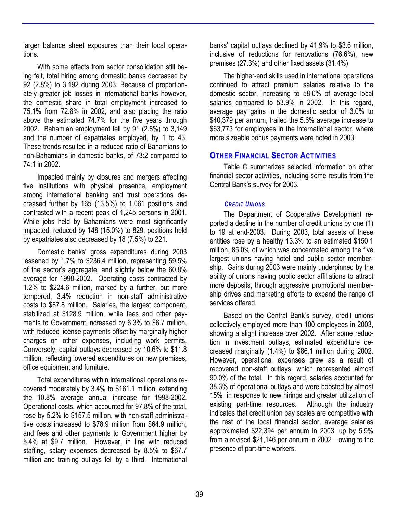larger balance sheet exposures than their local operations.

With some effects from sector consolidation still being felt, total hiring among domestic banks decreased by 92 (2.8%) to 3,192 during 2003. Because of proportionately greater job losses in international banks however, the domestic share in total employment increased to 75.1% from 72.8% in 2002, and also placing the ratio above the estimated 74.7% for the five years through 2002. Bahamian employment fell by 91 (2.8%) to 3,149 and the number of expatriates employed, by 1 to 43. These trends resulted in a reduced ratio of Bahamians to non-Bahamians in domestic banks, of 73:2 compared to 74:1 in 2002.

Impacted mainly by closures and mergers affecting five institutions with physical presence, employment among international banking and trust operations decreased further by 165 (13.5%) to 1,061 positions and contrasted with a recent peak of 1,245 persons in 2001. While jobs held by Bahamians were most significantly impacted, reduced by 148 (15.0%) to 829, positions held by expatriates also decreased by 18 (7.5%) to 221.

Domestic banks' gross expenditures during 2003 lessened by 1.7% to \$236.4 million, representing 59.5% of the sector's aggregate, and slightly below the 60.8% average for 1998-2002. Operating costs contracted by 1.2% to \$224.6 million, marked by a further, but more tempered, 3.4% reduction in non-staff administrative costs to \$87.8 million. Salaries, the largest component, stabilized at \$128.9 million, while fees and other payments to Government increased by 6.3% to \$6.7 million, with reduced license payments offset by marginally higher charges on other expenses, including work permits. Conversely, capital outlays decreased by 10.6% to \$11.8 million, reflecting lowered expenditures on new premises, office equipment and furniture.

Total expenditures within international operations recovered moderately by 3.4% to \$161.1 million, extending the 10.8% average annual increase for 1998-2002. Operational costs, which accounted for 97.8% of the total, rose by 5.2% to \$157.5 million, with non-staff administrative costs increased to \$78.9 million from \$64.9 million, and fees and other payments to Government higher by 5.4% at \$9.7 million. However, in line with reduced staffing, salary expenses decreased by 8.5% to \$67.7 million and training outlays fell by a third. International

banks' capital outlays declined by 41.9% to \$3.6 million, inclusive of reductions for renovations (76.6%), new premises (27.3%) and other fixed assets (31.4%).

The higher-end skills used in international operations continued to attract premium salaries relative to the domestic sector, increasing to 58.0% of average local salaries compared to 53.9% in 2002. In this regard, average pay gains in the domestic sector of 3.0% to \$40,379 per annum, trailed the 5.6% average increase to \$63,773 for employees in the international sector, where more sizeable bonus payments were noted in 2003.

# **OTHER FINANCIAL SECTOR ACTIVITIES**

Table C summarizes selected information on other financial sector activities, including some results from the Central Bank's survey for 2003.

### *CREDIT UNIONS*

The Department of Cooperative Development reported a decline in the number of credit unions by one (1) to 19 at end-2003. During 2003, total assets of these entities rose by a healthy 13.3% to an estimated \$150.1 million, 85.0% of which was concentrated among the five largest unions having hotel and public sector membership. Gains during 2003 were mainly underpinned by the ability of unions having public sector affiliations to attract more deposits, through aggressive promotional membership drives and marketing efforts to expand the range of services offered.

Based on the Central Bank's survey, credit unions collectively employed more than 100 employees in 2003, showing a slight increase over 2002. After some reduction in investment outlays, estimated expenditure decreased marginally (1.4%) to \$86.1 million during 2002. However, operational expenses grew as a result of recovered non-staff outlays, which represented almost 90.0% of the total. In this regard, salaries accounted for 38.3% of operational outlays and were boosted by almost 15% in response to new hirings and greater utilization of existing part-time resources. Although the industry indicates that credit union pay scales are competitive with the rest of the local financial sector, average salaries approximated \$22,394 per annum in 2003, up by 5.9% from a revised \$21,146 per annum in 2002––owing to the presence of part-time workers.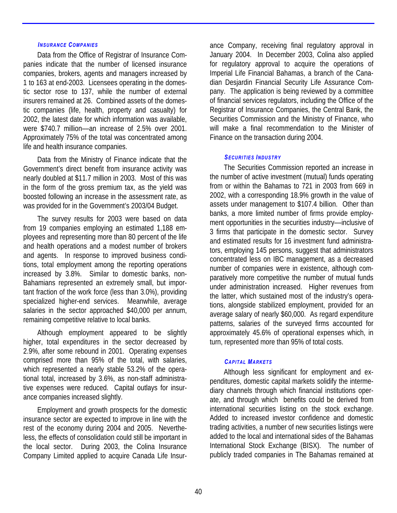### *INSURANCE COMPANIES*

Data from the Office of Registrar of Insurance Companies indicate that the number of licensed insurance companies, brokers, agents and managers increased by 1 to 163 at end-2003. Licensees operating in the domestic sector rose to 137, while the number of external insurers remained at 26. Combined assets of the domestic companies (life, health, property and casualty) for 2002, the latest date for which information was available, were \$740.7 million––an increase of 2.5% over 2001. Approximately 75% of the total was concentrated among life and health insurance companies.

Data from the Ministry of Finance indicate that the Government's direct benefit from insurance activity was nearly doubled at \$11.7 million in 2003. Most of this was in the form of the gross premium tax, as the yield was boosted following an increase in the assessment rate, as was provided for in the Government's 2003/04 Budget.

The survey results for 2003 were based on data from 19 companies employing an estimated 1,188 employees and representing more than 80 percent of the life and health operations and a modest number of brokers and agents. In response to improved business conditions, total employment among the reporting operations increased by 3.8%. Similar to domestic banks, non-Bahamians represented an extremely small, but important fraction of the work force (less than 3.0%), providing specialized higher-end services. Meanwhile, average salaries in the sector approached \$40,000 per annum, remaining competitive relative to local banks.

Although employment appeared to be slightly higher, total expenditures in the sector decreased by 2.9%, after some rebound in 2001. Operating expenses comprised more than 95% of the total, with salaries, which represented a nearly stable 53.2% of the operational total, increased by 3.6%, as non-staff administrative expenses were reduced. Capital outlays for insurance companies increased slightly.

Employment and growth prospects for the domestic insurance sector are expected to improve in line with the rest of the economy during 2004 and 2005. Nevertheless, the effects of consolidation could still be important in the local sector. During 2003, the Colina Insurance Company Limited applied to acquire Canada Life Insur-

ance Company, receiving final regulatory approval in January 2004. In December 2003, Colina also applied for regulatory approval to acquire the operations of Imperial Life Financial Bahamas, a branch of the Canadian Desjardin Financial Security Life Assurance Company. The application is being reviewed by a committee of financial services regulators, including the Office of the Registrar of Insurance Companies, the Central Bank, the Securities Commission and the Ministry of Finance, who will make a final recommendation to the Minister of Finance on the transaction during 2004.

### *SECURITIES INDUSTRY*

The Securities Commission reported an increase in the number of active investment (mutual) funds operating from or within the Bahamas to 721 in 2003 from 669 in 2002, with a corresponding 18.9% growth in the value of assets under management to \$107.4 billion. Other than banks, a more limited number of firms provide employment opportunities in the securities industry––inclusive of 3 firms that participate in the domestic sector. Survey and estimated results for 16 investment fund administrators, employing 145 persons, suggest that administrators concentrated less on IBC management, as a decreased number of companies were in existence, although comparatively more competitive the number of mutual funds under administration increased. Higher revenues from the latter, which sustained most of the industry's operations, alongside stabilized employment, provided for an average salary of nearly \$60,000. As regard expenditure patterns, salaries of the surveyed firms accounted for approximately 45.6% of operational expenses which, in turn, represented more than 95% of total costs.

### *CAPITAL MARKETS*

Although less significant for employment and expenditures, domestic capital markets solidify the intermediary channels through which financial institutions operate, and through which benefits could be derived from international securities listing on the stock exchange. Added to increased investor confidence and domestic trading activities, a number of new securities listings were added to the local and international sides of the Bahamas International Stock Exchange (BISX). The number of publicly traded companies in The Bahamas remained at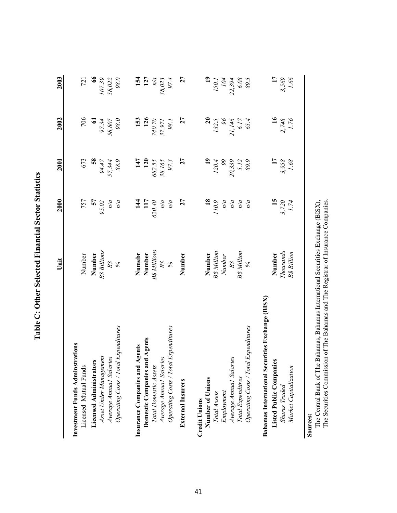|                                      | Unit                                                  | 2000                      | 2001                    | 2002                    | 2003                    |
|--------------------------------------|-------------------------------------------------------|---------------------------|-------------------------|-------------------------|-------------------------|
| Investment Funds Adminstrations      |                                                       |                           |                         |                         |                         |
| Licensed Mutual Funds                |                                                       | 757                       | 673                     | 706                     | 721                     |
| <b>Licensed Administrators</b>       | Number<br><b>Number</b><br>B\$ Billions<br>B\$<br>B\$ | 57                        | $\frac{8}{3}$           |                         | $\frac{6}{6}$           |
| Asset Under Management               |                                                       | $95.02$<br>$n/a$<br>$n/a$ |                         | 97.34<br>58,807<br>98.0 | $\frac{107.39}{58,022}$ |
| Average Annual Salaries              |                                                       |                           | 94.47<br>57,344<br>88.9 |                         |                         |
| Operating Costs / Total Expenditures |                                                       |                           |                         |                         |                         |
| Agents<br>Insurance Companies and    |                                                       | $\frac{14}{1}$            | 147                     | 153                     |                         |
| Domestic Companies and Agents        | Numebr<br>Number                                      | 117                       | 120                     | 126                     | <b>154</b><br>127       |
| Total Domestic Assets                | <b>B</b> & Millions                                   | 620.40                    | 682.55                  | 740.70                  | n/a                     |

| $\ddot{\phantom{a}}$<br>i |
|---------------------------|
| Ì                         |
|                           |
| ļ<br>J                    |

| Licensed Mutual Funds                                                                                                      | Number                                                                                                                    | 757                                              | 673                                                    | 706                                                | 721                                             |
|----------------------------------------------------------------------------------------------------------------------------|---------------------------------------------------------------------------------------------------------------------------|--------------------------------------------------|--------------------------------------------------------|----------------------------------------------------|-------------------------------------------------|
|                                                                                                                            |                                                                                                                           |                                                  |                                                        |                                                    | 66                                              |
|                                                                                                                            |                                                                                                                           |                                                  |                                                        |                                                    |                                                 |
|                                                                                                                            | $\begin{array}{c} \textbf{Number} \\ \textit{BS} \\ \textit{B3} \\ \textit{BS} \\ \textit{BS} \\ \textit{96} \end{array}$ | 57<br>$95.02$<br>$n/a$<br>$n/a$                  | <b>58</b><br>57.344<br>57.344                          | 61<br>97.34<br>58,807<br>98.0                      | $\frac{107.39}{58,022}$                         |
| <b>Licensed Administrators</b><br>Asset Under Management<br>Average Amual Salaries<br>Operating Costs / Total Expenditures |                                                                                                                           |                                                  |                                                        |                                                    |                                                 |
| Insurance Companies and Agents                                                                                             |                                                                                                                           |                                                  |                                                        |                                                    |                                                 |
| <b>nd Agents</b><br>Domestic Companies a                                                                                   |                                                                                                                           |                                                  |                                                        |                                                    |                                                 |
| Total Domestic Assets                                                                                                      |                                                                                                                           |                                                  |                                                        |                                                    |                                                 |
| Average Annual Salaries                                                                                                    |                                                                                                                           |                                                  |                                                        |                                                    |                                                 |
| Operating Costs / Total Expenditures                                                                                       | <b>Numebr<br/>Number</b><br>BS Millions<br>BS<br>BS                                                                       | 144<br>117<br>620.40<br>$n/a$<br>$n/a$           | 147<br>120<br>120<br>682.55<br>38,165<br>97.3          | 153<br>126<br>740.70<br>37,971<br>98.1             | 154<br>127<br>127<br>$n/a$<br>38,023<br>97.4    |
| <b>External Insurers</b>                                                                                                   | Number                                                                                                                    | $\overline{27}$                                  | 27                                                     | 27                                                 | 27                                              |
| <b>Credit Unions</b>                                                                                                       |                                                                                                                           |                                                  |                                                        |                                                    |                                                 |
| Number of Unions                                                                                                           |                                                                                                                           |                                                  |                                                        |                                                    |                                                 |
| Total Assets                                                                                                               |                                                                                                                           | $\frac{67011}{85}$                               |                                                        |                                                    |                                                 |
| Employment                                                                                                                 |                                                                                                                           |                                                  |                                                        |                                                    |                                                 |
| Average Annual Salaries                                                                                                    | <b>Number</b><br>B\$ Million<br>Number<br>B\$<br>B\$ Million                                                              | $\begin{array}{c} n/a \\ n/a \\ n/a \end{array}$ | 120.4<br>$120.4$<br>$99$<br>$5.12$<br>$5.12$<br>$89.8$ | $132.5$<br>$32.5$<br>$21.146$<br>$6.17$<br>$65.4$  | 150.1<br>150.1<br>104<br>22,394<br>6.08<br>69.5 |
| Total Expenditres                                                                                                          |                                                                                                                           |                                                  |                                                        |                                                    |                                                 |
| Operating Costs / Total Expenditures                                                                                       | $\frac{6}{6}$                                                                                                             |                                                  |                                                        |                                                    |                                                 |
| Bahamas International Securities Exchange (BISX)                                                                           |                                                                                                                           |                                                  |                                                        |                                                    |                                                 |
| Listed Public Companies                                                                                                    | Number                                                                                                                    |                                                  |                                                        |                                                    |                                                 |
| <b>Shares Traded</b>                                                                                                       | Thousands                                                                                                                 |                                                  |                                                        |                                                    |                                                 |
| Market Capitalization                                                                                                      | <b>B</b> \$ Billion                                                                                                       | $\frac{15}{3,720}$                               | $\frac{17}{3,958}$<br>1.68                             | $\begin{array}{c} 16 \\ 2,748 \\ 1.76 \end{array}$ | $\frac{17}{3,569}$                              |

**Sources:**

The Central Bank of The Bahamas, Bahamas International Securities Exchange (BISX), The Securities Commission of The Bahamas and The Registrar of Insurance Companies. The Securities Commission of The Bahamas and The Registrar of Insurance Companies. The Central Bank of The Bahamas, Bahamas International Securities Exchange (BISX),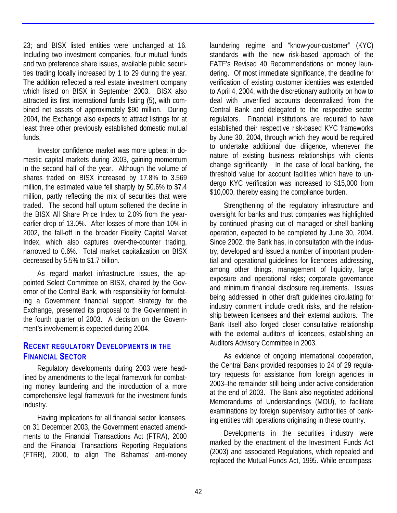23; and BISX listed entities were unchanged at 16. Including two investment companies, four mutual funds and two preference share issues, available public securities trading locally increased by 1 to 29 during the year. The addition reflected a real estate investment company which listed on BISX in September 2003. BISX also attracted its first international funds listing (5), with combined net assets of approximately \$90 million. During 2004, the Exchange also expects to attract listings for at least three other previously established domestic mutual funds.

Investor confidence market was more upbeat in domestic capital markets during 2003, gaining momentum in the second half of the year. Although the volume of shares traded on BISX increased by 17.8% to 3.569 million, the estimated value fell sharply by 50.6% to \$7.4 million, partly reflecting the mix of securities that were traded. The second half upturn softened the decline in the BISX All Share Price Index to 2.0% from the yearearlier drop of 13.0%. After losses of more than 10% in 2002, the fall-off in the broader Fidelity Capital Market Index, which also captures over-the-counter trading, narrowed to 0.6%. Total market capitalization on BISX decreased by 5.5% to \$1.7 billion.

As regard market infrastructure issues, the appointed Select Committee on BISX, chaired by the Governor of the Central Bank, with responsibility for formulating a Government financial support strategy for the Exchange, presented its proposal to the Government in the fourth quarter of 2003. A decision on the Government's involvement is expected during 2004.

# **RECENT REGULATORY DEVELOPMENTS IN THE FINANCIAL SECTOR**

Regulatory developments during 2003 were headlined by amendments to the legal framework for combating money laundering and the introduction of a more comprehensive legal framework for the investment funds industry.

Having implications for all financial sector licensees, on 31 December 2003, the Government enacted amendments to the Financial Transactions Act (FTRA), 2000 and the Financial Transactions Reporting Regulations (FTRR), 2000, to align The Bahamas' anti-money laundering regime and "know-your-customer" (KYC) standards with the new risk-based approach of the FATF's Revised 40 Recommendations on money laundering. Of most immediate significance, the deadline for verification of existing customer identities was extended to April 4, 2004, with the discretionary authority on how to deal with unverified accounts decentralized from the Central Bank and delegated to the respective sector regulators. Financial institutions are required to have established their respective risk-based KYC frameworks by June 30, 2004, through which they would be required to undertake additional due diligence, whenever the nature of existing business relationships with clients change significantly. In the case of local banking, the threshold value for account facilities which have to undergo KYC verification was increased to \$15,000 from \$10,000, thereby easing the compliance burden.

Strengthening of the regulatory infrastructure and oversight for banks and trust companies was highlighted by continued phasing out of managed or shell banking operation, expected to be completed by June 30, 2004. Since 2002, the Bank has, in consultation with the industry, developed and issued a number of important prudential and operational guidelines for licencees addressing, among other things, management of liquidity, large exposure and operational risks; corporate governance and minimum financial disclosure requirements. Issues being addressed in other draft guidelines circulating for industry comment include credit risks, and the relationship between licensees and their external auditors. The Bank itself also forged closer consultative relationship with the external auditors of licencees, establishing an Auditors Advisory Committee in 2003.

As evidence of ongoing international cooperation, the Central Bank provided responses to 24 of 29 regulatory requests for assistance from foreign agencies in 2003–the remainder still being under active consideration at the end of 2003. The Bank also negotiated additional Memorandums of Understandings (MOU), to facilitate examinations by foreign supervisory authorities of banking entities with operations originating in these country.

Developments in the securities industry were marked by the enactment of the Investment Funds Act (2003) and associated Regulations, which repealed and replaced the Mutual Funds Act, 1995. While encompass